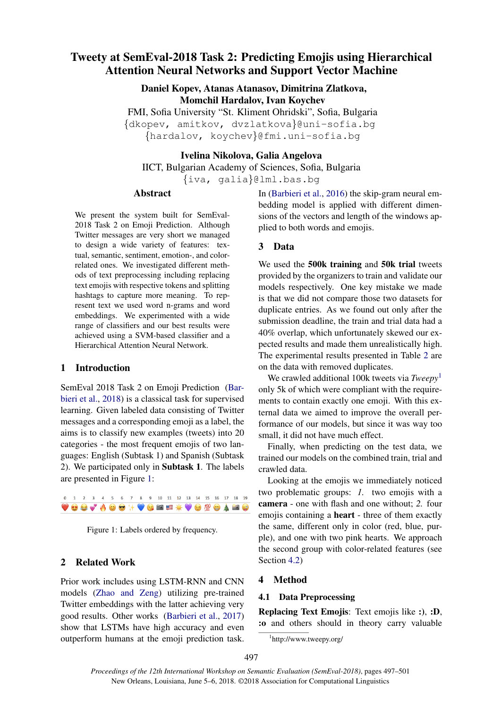# Tweety at SemEval-2018 Task 2: Predicting Emojis using Hierarchical Attention Neural Networks and Support Vector Machine

Daniel Kopev, Atanas Atanasov, Dimitrina Zlatkova, Momchil Hardalov, Ivan Koychev

FMI, Sofia University "St. Kliment Ohridski", Sofia, Bulgaria {dkopev, amitkov, dvzlatkova}@uni-sofia.bg {hardalov, koychev}@fmi.uni-sofia.bg

Ivelina Nikolova, Galia Angelova

IICT, Bulgarian Academy of Sciences, Sofia, Bulgaria {iva, galia}@lml.bas.bg

## Abstract

We present the system built for SemEval-2018 Task 2 on Emoji Prediction. Although Twitter messages are very short we managed to design a wide variety of features: textual, semantic, sentiment, emotion-, and colorrelated ones. We investigated different methods of text preprocessing including replacing text emojis with respective tokens and splitting hashtags to capture more meaning. To represent text we used word n-grams and word embeddings. We experimented with a wide range of classifiers and our best results were achieved using a SVM-based classifier and a Hierarchical Attention Neural Network.

# 1 Introduction

SemEval 2018 Task 2 on Emoji Prediction (Barbieri et al., 2018) is a classical task for supervised learning. Given labeled data consisting of Twitter messages and a corresponding emoji as a label, the aims is to classify new examples (tweets) into 20 categories - the most frequent emojis of two languages: English (Subtask 1) and Spanish (Subtask 2). We participated only in Subtask 1. The labels are presented in Figure 1:

0 1 2 3 4 5 6 7 8 9 10 11 12 13 14 15 16 17 18 19 VOOVAOOHVGEEXVOMOADO

Figure 1: Labels ordered by frequency.

## 2 Related Work

Prior work includes using LSTM-RNN and CNN models (Zhao and Zeng) utilizing pre-trained Twitter embeddings with the latter achieving very good results. Other works (Barbieri et al., 2017) show that LSTMs have high accuracy and even outperform humans at the emoji prediction task. In (Barbieri et al., 2016) the skip-gram neural embedding model is applied with different dimensions of the vectors and length of the windows applied to both words and emojis.

### 3 Data

We used the **500k training** and **50k trial** tweets provided by the organizers to train and validate our models respectively. One key mistake we made is that we did not compare those two datasets for duplicate entries. As we found out only after the submission deadline, the train and trial data had a 40% overlap, which unfortunately skewed our expected results and made them unrealistically high. The experimental results presented in Table 2 are on the data with removed duplicates.

We crawled additional 100k tweets via *Tweepy*<sup>1</sup> only 5k of which were compliant with the requirements to contain exactly one emoji. With this external data we aimed to improve the overall performance of our models, but since it was way too small, it did not have much effect.

Finally, when predicting on the test data, we trained our models on the combined train, trial and crawled data.

Looking at the emojis we immediately noticed two problematic groups: *1.* two emojis with a camera - one with flash and one without; *2.* four emojis containing a heart - three of them exactly the same, different only in color (red, blue, purple), and one with two pink hearts. We approach the second group with color-related features (see Section 4.2)

## 4 Method

### 4.1 Data Preprocessing

Replacing Text Emojis: Text emojis like :), :D, :o and others should in theory carry valuable

<sup>1</sup> http://www.tweepy.org/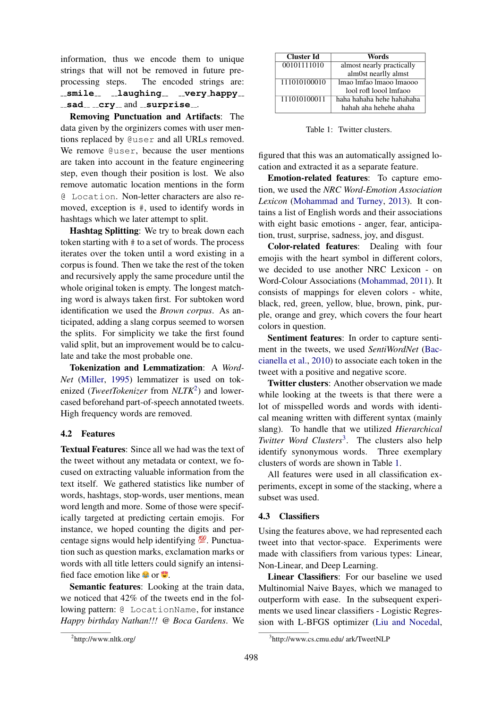information, thus we encode them to unique strings that will not be removed in future preprocessing steps. The encoded strings are: **smile laughing very happy**  $-$ sad  $-$ cry  $-$  and  $-$ surprise  $-$ .

Removing Punctuation and Artifacts: The data given by the orginizers comes with user mentions replaced by @user and all URLs removed. We remove  $Quser$ , because the user mentions are taken into account in the feature engineering step, even though their position is lost. We also remove automatic location mentions in the form @ Location. Non-letter characters are also removed, exception is #, used to identify words in hashtags which we later attempt to split.

Hashtag Splitting: We try to break down each token starting with # to a set of words. The process iterates over the token until a word existing in a corpus is found. Then we take the rest of the token and recursively apply the same procedure until the whole original token is empty. The longest matching word is always taken first. For subtoken word identification we used the *Brown corpus*. As anticipated, adding a slang corpus seemed to worsen the splits. For simplicity we take the first found valid split, but an improvement would be to calculate and take the most probable one.

Tokenization and Lemmatization: A *Word-Net* (Miller, 1995) lemmatizer is used on tokenized (*TweetTokenizer* from *NLTK*<sup>2</sup>) and lowercased beforehand part-of-speech annotated tweets. High frequency words are removed.

### 4.2 Features

Textual Features: Since all we had was the text of the tweet without any metadata or context, we focused on extracting valuable information from the text itself. We gathered statistics like number of words, hashtags, stop-words, user mentions, mean word length and more. Some of those were specifically targeted at predicting certain emojis. For instance, we hoped counting the digits and percentage signs would help identifying  $\frac{100}{2}$ . Punctuation such as question marks, exclamation marks or words with all title letters could signify an intensified face emotion like  $\bullet$  or  $\bullet$ .

Semantic features: Looking at the train data, we noticed that 42% of the tweets end in the following pattern: @ LocationName, for instance *Happy birthday Nathan!!! @ Boca Gardens*. We

Table 1: Twitter clusters.

figured that this was an automatically assigned location and extracted it as a separate feature.

Emotion-related features: To capture emotion, we used the *NRC Word-Emotion Association Lexicon* (Mohammad and Turney, 2013). It contains a list of English words and their associations with eight basic emotions - anger, fear, anticipation, trust, surprise, sadness, joy, and disgust.

Color-related features: Dealing with four emojis with the heart symbol in different colors, we decided to use another NRC Lexicon - on Word-Colour Associations (Mohammad, 2011). It consists of mappings for eleven colors - white, black, red, green, yellow, blue, brown, pink, purple, orange and grey, which covers the four heart colors in question.

Sentiment features: In order to capture sentiment in the tweets, we used *SentiWordNet* (Baccianella et al., 2010) to associate each token in the tweet with a positive and negative score.

Twitter clusters: Another observation we made while looking at the tweets is that there were a lot of misspelled words and words with identical meaning written with different syntax (mainly slang). To handle that we utilized *Hierarchical* Twitter Word Clusters<sup>3</sup>. The clusters also help identify synonymous words. Three exemplary clusters of words are shown in Table 1.

All features were used in all classification experiments, except in some of the stacking, where a subset was used.

### 4.3 Classifiers

Using the features above, we had represented each tweet into that vector-space. Experiments were made with classifiers from various types: Linear, Non-Linear, and Deep Learning.

Linear Classifiers: For our baseline we used Multinomial Naive Bayes, which we managed to outperform with ease. In the subsequent experiments we used linear classifiers - Logistic Regression with L-BFGS optimizer (Liu and Nocedal,

Cluster Id Words 00101111010 almost nearly practically alm0st nearlly almst 111010100010 lmao lmfao lmaoo lmaooo lool rofl loool lmfaoo 111010100011 haha hahaha hehe hahahaha hahah aha hehehe ahaha

<sup>2</sup> http://www.nltk.org/

<sup>3</sup> http://www.cs.cmu.edu/ ark/TweetNLP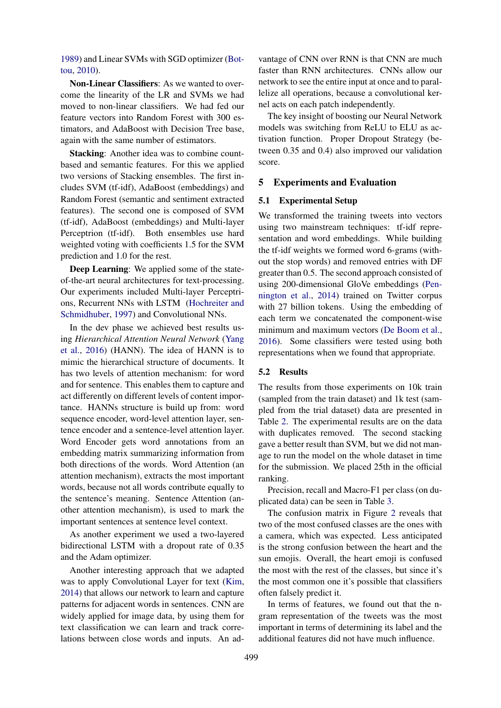1989) and Linear SVMs with SGD optimizer (Bottou, 2010).

Non-Linear Classifiers: As we wanted to overcome the linearity of the LR and SVMs we had moved to non-linear classifiers. We had fed our feature vectors into Random Forest with 300 estimators, and AdaBoost with Decision Tree base, again with the same number of estimators.

Stacking: Another idea was to combine countbased and semantic features. For this we applied two versions of Stacking ensembles. The first includes SVM (tf-idf), AdaBoost (embeddings) and Random Forest (semantic and sentiment extracted features). The second one is composed of SVM (tf-idf), AdaBoost (embeddings) and Multi-layer Perceptrion (tf-idf). Both ensembles use hard weighted voting with coefficients 1.5 for the SVM prediction and 1.0 for the rest.

Deep Learning: We applied some of the stateof-the-art neural architectures for text-processing. Our experiments included Multi-layer Perceptrions, Recurrent NNs with LSTM (Hochreiter and Schmidhuber, 1997) and Convolutional NNs.

In the dev phase we achieved best results using *Hierarchical Attention Neural Network* (Yang et al., 2016) (HANN). The idea of HANN is to mimic the hierarchical structure of documents. It has two levels of attention mechanism: for word and for sentence. This enables them to capture and act differently on different levels of content importance. HANNs structure is build up from: word sequence encoder, word-level attention layer, sentence encoder and a sentence-level attention layer. Word Encoder gets word annotations from an embedding matrix summarizing information from both directions of the words. Word Attention (an attention mechanism), extracts the most important words, because not all words contribute equally to the sentence's meaning. Sentence Attention (another attention mechanism), is used to mark the important sentences at sentence level context.

As another experiment we used a two-layered bidirectional LSTM with a dropout rate of 0.35 and the Adam optimizer.

Another interesting approach that we adapted was to apply Convolutional Layer for text (Kim, 2014) that allows our network to learn and capture patterns for adjacent words in sentences. CNN are widely applied for image data, by using them for text classification we can learn and track correlations between close words and inputs. An ad-

vantage of CNN over RNN is that CNN are much faster than RNN architectures. CNNs allow our network to see the entire input at once and to parallelize all operations, because a convolutional kernel acts on each patch independently.

The key insight of boosting our Neural Network models was switching from ReLU to ELU as activation function. Proper Dropout Strategy (between 0.35 and 0.4) also improved our validation score.

### 5 Experiments and Evaluation

## 5.1 Experimental Setup

We transformed the training tweets into vectors using two mainstream techniques: tf-idf representation and word embeddings. While building the tf-idf weights we formed word 6-grams (without the stop words) and removed entries with DF greater than 0.5. The second approach consisted of using 200-dimensional GloVe embeddings (Pennington et al., 2014) trained on Twitter corpus with 27 billion tokens. Using the embedding of each term we concatenated the component-wise minimum and maximum vectors (De Boom et al., 2016). Some classifiers were tested using both representations when we found that appropriate.

#### 5.2 Results

The results from those experiments on 10k train (sampled from the train dataset) and 1k test (sampled from the trial dataset) data are presented in Table 2. The experimental results are on the data with duplicates removed. The second stacking gave a better result than SVM, but we did not manage to run the model on the whole dataset in time for the submission. We placed 25th in the official ranking.

Precision, recall and Macro-F1 per class (on duplicated data) can be seen in Table 3.

The confusion matrix in Figure 2 reveals that two of the most confused classes are the ones with a camera, which was expected. Less anticipated is the strong confusion between the heart and the sun emojis. Overall, the heart emoji is confused the most with the rest of the classes, but since it's the most common one it's possible that classifiers often falsely predict it.

In terms of features, we found out that the ngram representation of the tweets was the most important in terms of determining its label and the additional features did not have much influence.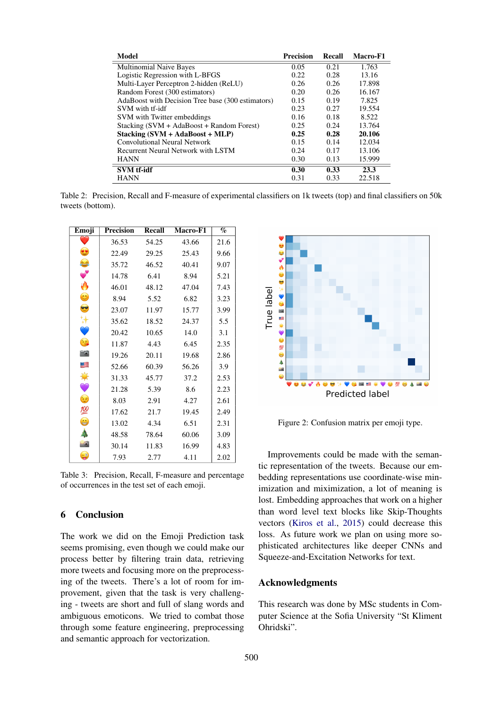| <b>Model</b>                                      | <b>Precision</b> | Recall | Macro-F1 |
|---------------------------------------------------|------------------|--------|----------|
| <b>Multinomial Naive Bayes</b>                    | 0.05             | 0.21   | 1.763    |
| Logistic Regression with L-BFGS                   | 0.22             | 0.28   | 13.16    |
| Multi-Layer Perceptron 2-hidden (ReLU)            | 0.26             | 0.26   | 17.898   |
| Random Forest (300 estimators)                    | 0.20             | 0.26   | 16.167   |
| AdaBoost with Decision Tree base (300 estimators) | 0.15             | 0.19   | 7.825    |
| SVM with tf-idf                                   | 0.23             | 0.27   | 19.554   |
| SVM with Twitter embeddings                       | 0.16             | 0.18   | 8.522    |
| Stacking (SVM + AdaBoost + Random Forest)         | 0.25             | 0.24   | 13.764   |
| $Stacking (SVM + AdaBoost + MLP)$                 | 0.25             | 0.28   | 20.106   |
| Convolutional Neural Network                      | 0.15             | 0.14   | 12.034   |
| Recurrent Neural Network with LSTM                | 0.24             | 0.17   | 13.106   |
| <b>HANN</b>                                       | 0.30             | 0.13   | 15.999   |
| <b>SVM</b> tf-idf                                 | 0.30             | 0.33   | 23.3     |
| <b>HANN</b>                                       | 0.31             | 0.33   | 22.518   |

Table 2: Precision, Recall and F-measure of experimental classifiers on 1k tweets (top) and final classifiers on 50k tweets (bottom).

| Emoji                    | <b>Precision</b> | <b>Recall</b> | Macro-F1 | $\overline{\mathcal{C}}$ |
|--------------------------|------------------|---------------|----------|--------------------------|
|                          | 36.53            | 54.25         | 43.66    | 21.6                     |
| $\bullet$                | 22.49            | 29.25         | 25.43    | 9.66                     |
| 0                        | 35.72            | 46.52         | 40.41    | 9.07                     |
| $\bullet$                | 14.78            | 6.41          | 8.94     | 5.21                     |
| 0                        | 46.01            | 48.12         | 47.04    | 7.43                     |
| $\bullet$                | 8.94             | 5.52          | 6.82     | 3.23                     |
| $\bullet$                | 23.07            | 11.97         | 15.77    | 3.99                     |
| ₩                        | 35.62            | 18.52         | 24.37    | 5.5                      |
| $\bullet$                | 20.42            | 10.65         | 14.0     | 3.1                      |
| $\frac{1}{3}$            | 11.87            | 4.43          | 6.45     | 2.35                     |
| $\overline{\phantom{a}}$ | 19.26            | 20.11         | 19.68    | 2.86                     |
| S                        | 52.66            | 60.39         | 56.26    | 3.9                      |
| ♦                        | 31.33            | 45.77         | 37.2     | 2.53                     |
| $\bullet$                | 21.28            | 5.39          | 8.6      | 2.23                     |
| $\ddot{\cdot}$           | 8.03             | 2.91          | 4.27     | 2.61                     |
| 100                      | 17.62            | 21.7          | 19.45    | 2.49                     |
| $\bigoplus$              | 13.02            | 4.34          | 6.51     | 2.31                     |
| d,                       | 48.58            | 78.64         | 60.06    | 3.09                     |
| $\bullet$                | 30.14            | 11.83         | 16.99    | 4.83                     |
| $\ominus$                | 7.93             | 2.77          | 4.11     | 2.02                     |

Table 3: Precision, Recall, F-measure and percentage of occurrences in the test set of each emoji.

## 6 Conclusion

The work we did on the Emoji Prediction task seems promising, even though we could make our process better by filtering train data, retrieving more tweets and focusing more on the preprocessing of the tweets. There's a lot of room for improvement, given that the task is very challenging - tweets are short and full of slang words and ambiguous emoticons. We tried to combat those through some feature engineering, preprocessing and semantic approach for vectorization.



Figure 2: Confusion matrix per emoji type.

Improvements could be made with the semantic representation of the tweets. Because our embedding representations use coordinate-wise minimization and miximization, a lot of meaning is lost. Embedding approaches that work on a higher than word level text blocks like Skip-Thoughts vectors (Kiros et al., 2015) could decrease this loss. As future work we plan on using more sophisticated architectures like deeper CNNs and Squeeze-and-Excitation Networks for text.

## Acknowledgments

This research was done by MSc students in Computer Science at the Sofia University "St Kliment Ohridski".